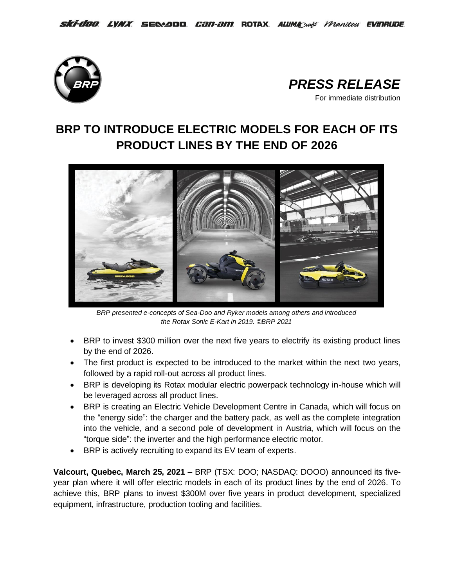



# **BRP TO INTRODUCE ELECTRIC MODELS FOR EACH OF ITS PRODUCT LINES BY THE END OF 2026**



*BRP presented e-concepts of Sea-Doo and Ryker models among others and introduced the Rotax Sonic E-Kart in 2019. ©BRP 2021*

- BRP to invest \$300 million over the next five years to electrify its existing product lines by the end of 2026.
- The first product is expected to be introduced to the market within the next two years, followed by a rapid roll-out across all product lines.
- BRP is developing its Rotax modular electric powerpack technology in-house which will be leveraged across all product lines.
- BRP is creating an Electric Vehicle Development Centre in Canada, which will focus on the "energy side": the charger and the battery pack, as well as the complete integration into the vehicle, and a second pole of development in Austria, which will focus on the "torque side": the inverter and the high performance electric motor.
- BRP is actively recruiting to expand its EV team of experts.

**Valcourt, Quebec, March 25, 2021** – BRP (TSX: DOO; NASDAQ: DOOO) announced its fiveyear plan where it will offer electric models in each of its product lines by the end of 2026. To achieve this, BRP plans to invest \$300M over five years in product development, specialized equipment, infrastructure, production tooling and facilities.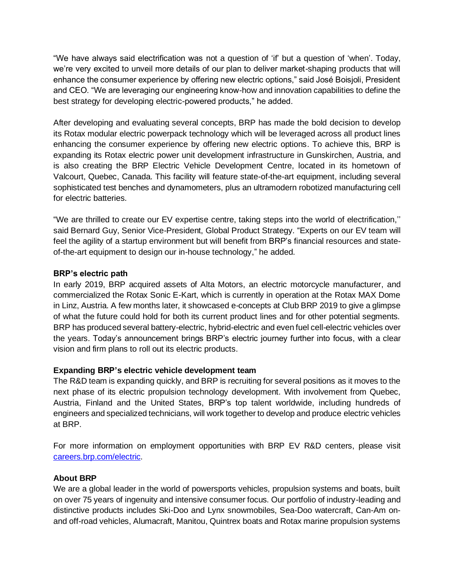"We have always said electrification was not a question of 'if' but a question of 'when'. Today, we're very excited to unveil more details of our plan to deliver market-shaping products that will enhance the consumer experience by offering new electric options," said José Boisjoli, President and CEO. "We are leveraging our engineering know-how and innovation capabilities to define the best strategy for developing electric-powered products," he added.

After developing and evaluating several concepts, BRP has made the bold decision to develop its Rotax modular electric powerpack technology which will be leveraged across all product lines enhancing the consumer experience by offering new electric options. To achieve this, BRP is expanding its Rotax electric power unit development infrastructure in Gunskirchen, Austria, and is also creating the BRP Electric Vehicle Development Centre, located in its hometown of Valcourt, Quebec, Canada. This facility will feature state-of-the-art equipment, including several sophisticated test benches and dynamometers, plus an ultramodern robotized manufacturing cell for electric batteries.

"We are thrilled to create our EV expertise centre, taking steps into the world of electrification,'' said Bernard Guy, Senior Vice-President, Global Product Strategy. "Experts on our EV team will feel the agility of a startup environment but will benefit from BRP's financial resources and stateof-the-art equipment to design our in-house technology," he added.

# **BRP's electric path**

In early 2019, BRP acquired assets of Alta Motors, an electric motorcycle manufacturer, and commercialized the Rotax Sonic E-Kart, which is currently in operation at the Rotax MAX Dome in Linz, Austria. A few months later, it showcased e-concepts at Club BRP 2019 to give a glimpse of what the future could hold for both its current product lines and for other potential segments. BRP has produced several battery-electric, hybrid-electric and even fuel cell-electric vehicles over the years. Today's announcement brings BRP's electric journey further into focus, with a clear vision and firm plans to roll out its electric products.

## **Expanding BRP's electric vehicle development team**

The R&D team is expanding quickly, and BRP is recruiting for several positions as it moves to the next phase of its electric propulsion technology development. With involvement from Quebec, Austria, Finland and the United States, BRP's top talent worldwide, including hundreds of engineers and specialized technicians, will work together to develop and produce electric vehicles at BRP.

For more information on employment opportunities with BRP EV R&D centers, please visit [careers.brp.com/electric.](https://careers.brp.com/electric)

## **About BRP**

We are a global leader in the world of powersports vehicles, propulsion systems and boats, built on over 75 years of ingenuity and intensive consumer focus. Our portfolio of industry-leading and distinctive products includes Ski-Doo and Lynx snowmobiles, Sea-Doo watercraft, Can-Am onand off-road vehicles, Alumacraft, Manitou, Quintrex boats and Rotax marine propulsion systems